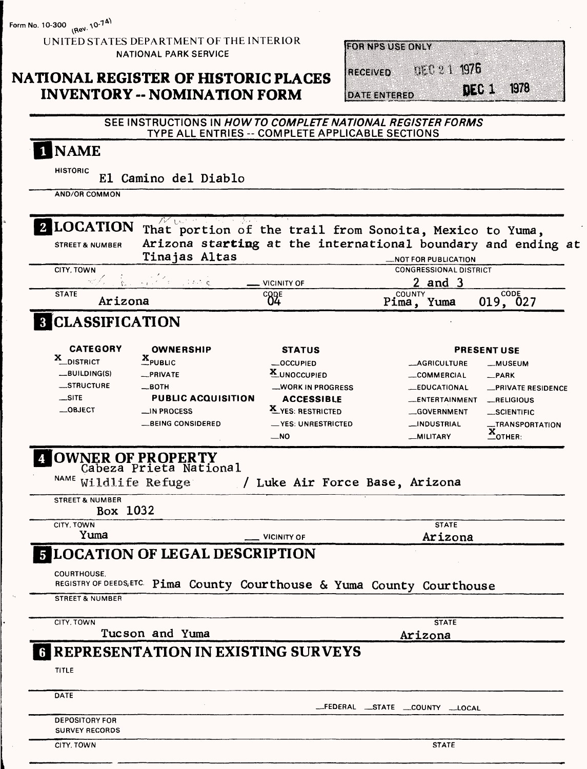**Form No. 10-300** (ReV. 10-74)

UNITED STATES DEPARTMENT OF THE INTERIOR NATIONAL PARK SERVICE

## **NATIONAL REGISTER OF HISTORIC PLACES INVENTORY - NOMINATION FORM**

| <b>FOR NPS USE ONLY</b><br>[RECEWED]<br>บยาย 1 1976<br>1978<br>いく (の)<br><b>DATE ENTERED</b> |  |  |  |
|----------------------------------------------------------------------------------------------|--|--|--|
|                                                                                              |  |  |  |
|                                                                                              |  |  |  |
|                                                                                              |  |  |  |
|                                                                                              |  |  |  |

#### **SEE INSTRUCTIONS IN HOWTO COMPLETE NATIONAL REGISTER FORMS TYPE ALL ENTRIES -- COMPLETE APPLICABLE SECTIONS**

| <b>HISTORIC</b>                                    |                                                                         |                                |                                                                                             |
|----------------------------------------------------|-------------------------------------------------------------------------|--------------------------------|---------------------------------------------------------------------------------------------|
|                                                    | El Camino del Diablo                                                    |                                |                                                                                             |
| <b>AND/OR COMMON</b>                               |                                                                         |                                |                                                                                             |
| 2 LOCATION                                         | アイロード                                                                   |                                | That portion of the trail from Sonoita, Mexico to Yuma,                                     |
| <b>STREET &amp; NUMBER</b>                         | Tinajas Altas                                                           |                                | Arizona starting at the international boundary and ending at<br><b>_NOT FOR PUBLICATION</b> |
| CITY, TOWN                                         | ਿੱਟ ਹੋਰ ਕਰਨ ਦੇ                                                          | <b>VICINITY OF</b>             | <b>CONGRESSIONAL DISTRICT</b><br>$2$ and $3$                                                |
| <b>STATE</b><br>Arizona                            |                                                                         | ${}^{c}$ <sup>2</sup> ${}^{c}$ | CODE<br><b>COUNTY</b>                                                                       |
|                                                    |                                                                         |                                | 019, 027<br>Pima, Yuma                                                                      |
| <b>8 CLASSIFICATION</b>                            |                                                                         |                                |                                                                                             |
|                                                    |                                                                         |                                |                                                                                             |
| <b>CATEGORY</b>                                    | <b>OWNERSHIP</b>                                                        | <b>STATUS</b>                  | <b>PRESENT USE</b>                                                                          |
| X_DISTRICT                                         | $X$ <sub>PUBLIC</sub>                                                   | _OCCUPIED                      | <b>MAGRICULTURE</b><br><b>__MUSEUM</b>                                                      |
| $-BULDING(S)$                                      | _PRIVATE                                                                | X_UNOCCUPIED                   | __COMMERCIAL<br>_PARK                                                                       |
| _STRUCTURE                                         | __вотн                                                                  | <b>WORK IN PROGRESS</b>        | <b>__EDUCATIONAL</b><br><b>_PRIVATE RESIDENCE</b>                                           |
| $\equiv$ SITE                                      | <b>PUBLIC ACQUISITION</b>                                               | <b>ACCESSIBLE</b>              | __ENTERTAINMENT<br>RELIGIOUS                                                                |
| $\_$ OBJECT                                        | __IN PROCESS                                                            | X YES: RESTRICTED              | <b>GOVERNMENT</b><br>__SCIENTIFIC                                                           |
|                                                    | <b>BEING CONSIDERED</b>                                                 | __YES: UNRESTRICTED            | _INDUSTRIAL<br>__TRANSPORTATION                                                             |
|                                                    |                                                                         | $\overline{\phantom{0}}$ NO    | $\underline{\mathbf{x}}$ OTHER:<br>__MILITARY                                               |
| NAME Wildlife Refuge<br><b>STREET &amp; NUMBER</b> | OWNER OF PROPERTY<br>Cabeza Prieta National                             | / Luke Air Force Base, Arizona |                                                                                             |
| Box 1032                                           |                                                                         |                                |                                                                                             |
| CITY, TOWN                                         |                                                                         |                                | <b>STATE</b>                                                                                |
| Yuma                                               |                                                                         | <b>VICINITY OF</b>             | Arizona                                                                                     |
|                                                    | <b>LOCATION OF LEGAL DESCRIPTION</b>                                    |                                |                                                                                             |
| COURTHOUSE.                                        | REGISTRY OF DEEDS, ETC. Pima County Courthouse & Yuma County Courthouse |                                |                                                                                             |
| <b>STREET &amp; NUMBER</b>                         |                                                                         |                                |                                                                                             |
| CITY, TOWN                                         |                                                                         |                                | <b>STATE</b>                                                                                |
|                                                    | Tucson and Yuma                                                         |                                | Arizona                                                                                     |
|                                                    | <b>REPRESENTATION IN EXISTING SURVEYS</b>                               |                                |                                                                                             |
|                                                    |                                                                         |                                |                                                                                             |
| <b>TITLE</b>                                       |                                                                         |                                |                                                                                             |
| <b>DATE</b>                                        |                                                                         |                                |                                                                                             |
|                                                    |                                                                         |                                | -FEDERAL __STATE __COUNTY __LOCAL                                                           |
| <b>DEPOSITORY FOR</b><br><b>SURVEY RECORDS</b>     |                                                                         |                                |                                                                                             |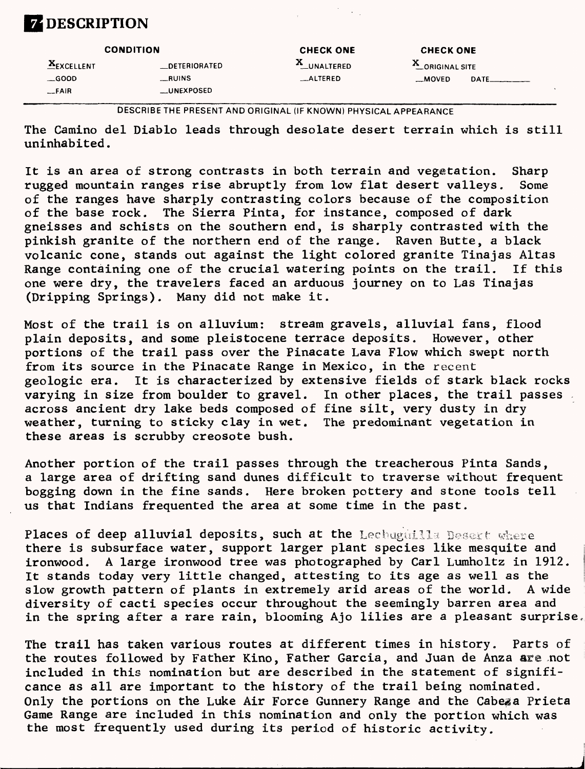# **ZDESCRIPTION**

|               | <b>CONDITION</b>     |             | <b>CHECK ONE</b> |      |  |
|---------------|----------------------|-------------|------------------|------|--|
| $E$ EXCELLENT | <b>LOETERIORATED</b> | X_UNALTERED | CORIGINAL SITE   |      |  |
| $\equiv$ GOOD | $_{\rm -RUINS}$      | _ALTERED    | __MOVED          | DATE |  |
| $-FAIR$       | <b>LUNEXPOSED</b>    |             |                  |      |  |

**DESCRIBE THE PRESENT AND ORIGINAL (IF KNOWN) PHYSICAL APPEARANCE**

The Camino del Diablo leads through desolate desert terrain which is still uninhabited.

It is an area of strong contrasts in both terrain and vegetation. Sharp rugged mountain ranges rise abruptly from low flat desert valleys, Some of the ranges have sharply contrasting colors because of the composition of the base rock. The Sierra Pinta, for instance, composed of dark gneisses and schists on the southern end, is sharply contrasted with the pinkish granite of the northern end of the range. Raven Butte, a black volcanic cone, stands out against the light colored granite Tinajas Altas Range containing one of the crucial watering points on the trail. If this one were dry, the travelers faced an arduous journey on to Las Tinajas (Dripping Springs). Many did not make it.

Most of the trail is on alluvium: stream gravels, alluvial fans, flood plain deposits, and some pleistocene terrace deposits. However, other portions of the trail pass over the Pinacate Lava Flow which swept north from its source in the Pinacate Range in Mexico, in the recent geologic era. It is characterized by extensive fields of stark black rocks varying in size from boulder to gravel. In other places, the trail passes across ancient dry lake beds composed of fine silt, very dusty in dry weather, turning to sticky clay in wet. The predominant vegetation in these areas is scrubby creosote bush.

Another portion of the trail passes through the treacherous Pinta Sands, a large area of drifting sand dunes difficult to traverse without frequent bogging down in the fine sands. Here broken pottery and stone tools tell us that Indians frequented the area at some time in the past.

Places of deep alluvial deposits, such at the Lechuguilla Desert where there is subsurface water, support larger plant species like mesquite and ironwood. A large ironwood tree was photographed by Carl Lumholtz in 1912. It stands today very little changed, attesting to its age as well as the slow growth pattern of plants in extremely arid areas of the world. A wide diversity of cacti species occur throughout the seemingly barren area and in the spring after a rare rain, blooming Ajo lilies are a pleasant surprise.

The trail has taken various routes at different times in history, Parts of the routes followed by Father Kino, Father Garcia, and Juan de Anza are not included in this nomination but are described in the statement of significance as all are important to the history of the trail being nominated. Only the portions on the Luke Air Force Gunnery Range and the Cabeza Prieta Game Range are included in this nomination and only the portion which was the most frequently used during Its period of historic activity.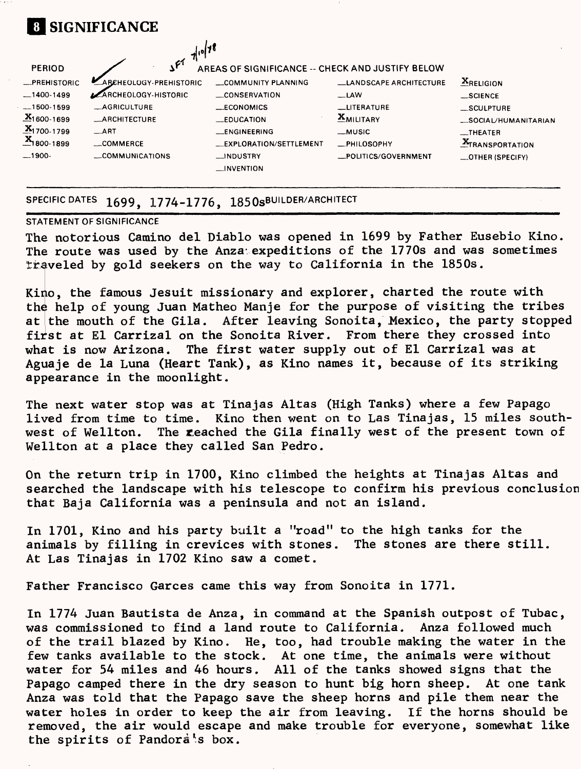| <b>PERIOD</b>                    | $7^{10}$ <sup>78</sup><br>$\mathcal{S}$ <sup><math>f^{\prime}</math></sup> | AREAS OF SIGNIFICANCE -- CHECK AND JUSTIFY BELOW |                               |                                  |
|----------------------------------|----------------------------------------------------------------------------|--------------------------------------------------|-------------------------------|----------------------------------|
| -PREHISTORIC                     | ARCHEOLOGY-PREHISTORIC                                                     | COMMUNITY PLANNING                               | <b>LANDSCAPE ARCHITECTURE</b> | $XRELI$ <sub>ON</sub>            |
| $-1400-1499$                     | <b>ARCHEOLOGY-HISTORIC</b>                                                 | <b>CONSERVATION</b>                              | -LAW                          | _SCIENCE                         |
| $-1500-1599$                     | <b>_AGRICULTURE</b>                                                        | $\_ECONOMICS$                                    | <b>LITERATURE</b>             | _SCULPTURE                       |
| $X_{1600-1699}$                  | <b>_ARCHITECTURE</b>                                                       | <b>EDUCATION</b>                                 | <b>XMILITARY</b>              | _SOCIAL/HUMANITARIAN             |
| $\frac{X}{21}$ 1700-1799         | $\_$ ART                                                                   | __ENGINEERING                                    | $-MUSIC$                      | $\overline{\phantom{a}}$ THEATER |
| $\frac{\mathbf{x}}{2}$ 1800-1899 | COMMERCE                                                                   | <b>LEXPLORATION/SETTLEMENT</b>                   | -PHILOSOPHY                   | <b>X</b> TRANSPORTATION          |
| $-1900-$                         | COMMUNICATIONS                                                             | __INDUSTRY                                       | _POLITICS/GOVERNMENT          | _OTHER (SPECIFY)                 |

#### **SPECIFIC DATES** 1699, 1774-1776, 1850sBUILDER/ARCHITECT

#### STATEMENT OF SIGNIFICANCE

The notorious Camino del Diablo was opened in 1699 by Father Eusebio Kino. The route was used by the Anza expeditions of the 1770s and was sometimes traveled by gold seekers on the way to California in the 1850s.

Kino, the famous Jesuit missionary and explorer, charted the route with the help of young Juan Matheo Manje for the purpose of visiting the tribes at the mouth of the Gila. After leaving Sonoita, Mexico, the party stopped first at El Carrizal on the Sonoita River. From there they crossed into what is now Arizona. The first water supply out of El Carrizal was at Aguaje de la Luna (Heart Tank), as Kino names it, because of its striking appearance in the moonlight.

The next water stop was at Tinajas Altas (High Tanks) where a few Papago lived from time to time. Kino then went on to Las Tinajas, 15 miles southwest of Wellton, The Reached the Gila finally west of the present town of Wellton at a place they called San Pedro.

On the return trip in 1700, Kino climbed the heights at Tinajas Altas and searched the landscape with his telescope to confirm his previous conclusion that Baja California was a peninsula and not an island.

In 1701, Kino and his party built a "road" to the high tanks for the animals by filling in crevices with stones. The stones are there still. At Las Tinajas in 1702 Kino saw a comet.

Father Francisco Garces came this way from Sonoita in 1771.

In 1774 Juan Bautista de Anza, in command at the Spanish outpost of Tubac, was commissioned to find a land route to California. Anza followed much of the trail blazed by Kino. He, too, had trouble making the water in the few tanks available to the stock. At one time, the animals were without water for 54 miles and 46 hours. All of the tanks showed signs that the Papago camped there in the dry season to hunt big horn sheep. At one tank Anza was told that the Papago save the sheep horns and pile them near the water holes in order to keep the air from leaving. If the horns should be removed, the air would escape and make trouble for everyone, somewhat like the spirits of Pandora s box.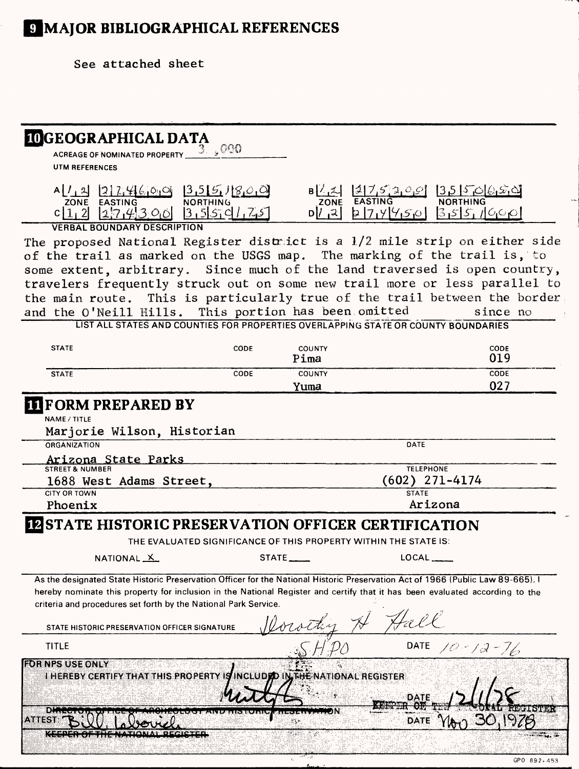# **IMAJOR BIBLIOGRAPHICAL REFERENCES**

**See attached sheet**

| <b>IDGEOGRAPHICAL DATA</b>                                                                                                                                                                                                                                    |                                                                  |                                                                                                    |
|---------------------------------------------------------------------------------------------------------------------------------------------------------------------------------------------------------------------------------------------------------------|------------------------------------------------------------------|----------------------------------------------------------------------------------------------------|
| $3\%$ , $000$<br>ACREAGE OF NOMINATED PROPERTY                                                                                                                                                                                                                |                                                                  |                                                                                                    |
| <b>UTM REFERENCES</b>                                                                                                                                                                                                                                         |                                                                  |                                                                                                    |
|                                                                                                                                                                                                                                                               |                                                                  |                                                                                                    |
| $A[1, 2]$ $[2]7, 46, 0, 0$ $[3, 5]5, 18, 0, 0$<br>zone easting northing                                                                                                                                                                                       |                                                                  | $B\begin{bmatrix} 2 & 2 & 3 & 2 & 3 \\ 2 & 3 & 2 & 3 \\ 2 & 2 & 3 & 3 \end{bmatrix}$ 135 5 6 6 5 6 |
| $c[1,2]$ $[27,4]3,00$ $[3,5]5,01,75$                                                                                                                                                                                                                          |                                                                  | $1714450$ 355,1900                                                                                 |
| <b>VERBAL BOUNDARY DESCRIPTION</b>                                                                                                                                                                                                                            |                                                                  |                                                                                                    |
| The proposed National Register district is a 1/2 mile strip on either side                                                                                                                                                                                    |                                                                  |                                                                                                    |
| of the trail as marked on the USGS map. The marking of the trail is, to                                                                                                                                                                                       |                                                                  |                                                                                                    |
| some extent, arbitrary. Since much of the land traversed is open country,                                                                                                                                                                                     |                                                                  |                                                                                                    |
| travelers frequently struck out on some new trail more or less parallel to                                                                                                                                                                                    |                                                                  |                                                                                                    |
| the main route. This is particularly true of the trail between the border                                                                                                                                                                                     |                                                                  |                                                                                                    |
| and the O'Neill Hills. This portion has been omitted                                                                                                                                                                                                          |                                                                  | since no                                                                                           |
| LIST ALL STATES AND COUNTIES FOR PROPERTIES OVERLAPPING STATE OR COUNTY BOUNDARIES                                                                                                                                                                            |                                                                  |                                                                                                    |
| <b>STATE</b><br>CODE                                                                                                                                                                                                                                          | COUNTY                                                           | CODE                                                                                               |
|                                                                                                                                                                                                                                                               | Pima                                                             | 019                                                                                                |
| CODE<br><b>STATE</b>                                                                                                                                                                                                                                          | COUNTY                                                           | CODE                                                                                               |
|                                                                                                                                                                                                                                                               | Yuma                                                             | 027                                                                                                |
| <b>FORM PREPARED BY</b>                                                                                                                                                                                                                                       |                                                                  |                                                                                                    |
| NAME / TITLE                                                                                                                                                                                                                                                  |                                                                  |                                                                                                    |
| Marjorie Wilson, Historian                                                                                                                                                                                                                                    |                                                                  |                                                                                                    |
| ORGANIZATION                                                                                                                                                                                                                                                  |                                                                  | DATE                                                                                               |
| Arizona State Parks<br><b>STREET &amp; NUMBER</b>                                                                                                                                                                                                             |                                                                  | <b>TELEPHONE</b>                                                                                   |
| 1688 West Adams Street,                                                                                                                                                                                                                                       |                                                                  | $(602)$ 271-4174                                                                                   |
| <b>CITY OR TOWN</b>                                                                                                                                                                                                                                           |                                                                  | <b>STATE</b>                                                                                       |
| Phoenix                                                                                                                                                                                                                                                       |                                                                  | Arizona                                                                                            |
| STATE HISTORIC PRESERVATION OFFICER CERTIFICATION                                                                                                                                                                                                             |                                                                  |                                                                                                    |
|                                                                                                                                                                                                                                                               | THE EVALUATED SIGNIFICANCE OF THIS PROPERTY WITHIN THE STATE IS: |                                                                                                    |
| NATIONAL <sub>X</sub>                                                                                                                                                                                                                                         | $\mathsf{STATE} \_\_$                                            | $LOCAL$ <sub>_____</sub>                                                                           |
|                                                                                                                                                                                                                                                               |                                                                  |                                                                                                    |
| As the designated State Historic Preservation Officer for the National Historic Preservation Act of 1966 (Public Law 89-665).<br>hereby nominate this property for inclusion in the National Register and certify that it has been evaluated according to the |                                                                  |                                                                                                    |
| criteria and procedures set forth by the National Park Service.                                                                                                                                                                                               |                                                                  |                                                                                                    |
|                                                                                                                                                                                                                                                               |                                                                  |                                                                                                    |
| STATE HISTORIC PRESERVATION OFFICER SIGNATURE                                                                                                                                                                                                                 |                                                                  |                                                                                                    |
| TITLE                                                                                                                                                                                                                                                         |                                                                  | DATE $10-12-16$                                                                                    |
| <b>EORNES USE ONLY</b>                                                                                                                                                                                                                                        |                                                                  |                                                                                                    |
| I HEREBY CERTIFY THAT THIS PROPERTY IS INCLUDED IN THE NATIONAL REGISTER                                                                                                                                                                                      |                                                                  |                                                                                                    |
|                                                                                                                                                                                                                                                               |                                                                  |                                                                                                    |
|                                                                                                                                                                                                                                                               |                                                                  | DATE                                                                                               |
| 19Y.                                                                                                                                                                                                                                                          |                                                                  | <b>Буник</b>                                                                                       |
| ∆\##*                                                                                                                                                                                                                                                         |                                                                  | DATE                                                                                               |
|                                                                                                                                                                                                                                                               |                                                                  |                                                                                                    |

T,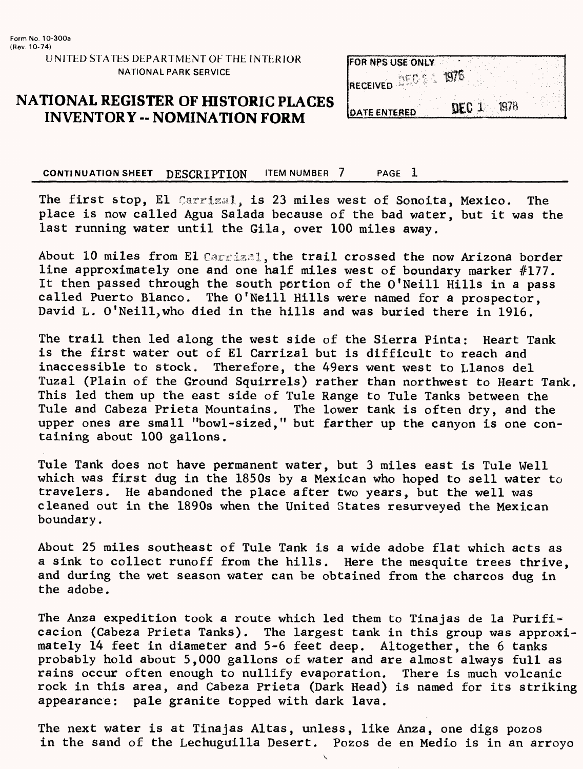UNITED STATES DEPARTMENT OF THE INTERIOR NATIONAL PARK SERVICE

#### **NATIONAL REGISTER OF HISTORIC PLACES INVENTORY -- NOMINATION FORM**



**CONTINUATION SHEET DESCRIPTION FIEM NUMBER 7 PAGE 1** 

The first stop, El Carrizal, is 23 miles west of Sonoita, Mexico. The place is now called Agua Salada because of the bad water, but it was the last running water until the Gila, over 100 miles away.

About 10 miles from El Carrixal, the trail crossed the now Arizona border line approximately one and one half miles west of boundary marker #177. It then passed through the south portion of the O'Neill Hills in a pass called Puerto Blanco. The O'Neill Hills were named for a prospector, David L. O'Neill, who died in the hills and was buried there in 1916.

The trail then led along the west side of the Sierra Pinta: Heart Tank is the first water out of El Carrizal but is difficult to reach and inaccessible to stock. Therefore, the 49ers went west to Llanos del Tuzal (Plain of the Ground Squirrels) rather than northwest to Heart Tank. This led them up the east side of Tule Range to Tule Tanks between the Tule and Cabeza Prieta Mountains. The lower tank is often dry, and the upper ones are small "bowl-sized," but farther up the canyon is one containing about 100 gallons.

Tule Tank does not have permanent water, but 3 miles east is Tule Well which was first dug in the 1850s by a Mexican who hoped to sell water to travelers. He abandoned the place after two years, but the well was cleaned out in the 1890s when the United States resurveyed the Mexican boundary.

About 25 miles southeast of Tule Tank is a wide adobe flat which acts as a sink to collect runoff from the hills. Here the mesquite trees thrive, and during the wet season water can be obtained from the charcos dug in the adobe.

The Anza expedition took a route which led them to Tinajas de la Purificacion (Cabeza Prieta Tanks). The largest tank in this group was approximately 14 feet in diameter and 5-6 feet deep. Altogether, the 6 tanks probably hold about 5,000 gallons of water and are almost always full as rains occur often enough to nullify evaporation. There is much volcanic rock in this area, and Cabeza Prieta (Dark Head) is named for its striking appearance: pale granite topped with dark lava.

The next water is at Tinajas Altas, unless, like Anza, one digs pozos in the sand of the Lechuguilla Desert. Pozos de en Medio is in an arroyo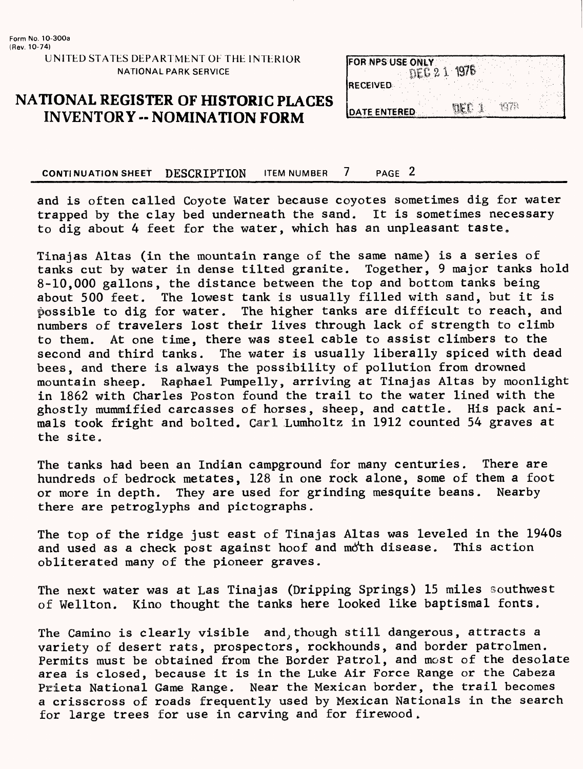UNITED STATES DEPARTMENT OF THE INTERIOR NATIONAL PARK SERVICE

### **NATIONAL REGISTER OF fflSTORIC PLACES INVENTORY -- NOMINATION FORM**

| <b>FOR NPS USE ONLY</b><br>NFC 2 |      |  |
|----------------------------------|------|--|
| <b>RECEIVED</b>                  |      |  |
| DATE ENTERED                     | 1078 |  |

**CONTINUATION SHEET DESCRIPTION ITEM NUMBER 7 PAGE 2** 

and is often called Coyote Water because coyotes sometimes dig for water trapped by the clay bed underneath the sand. It is sometimes necessary to dig about 4 feet for the water, which has an unpleasant taste.

Tinajas Altas (in the mountain range of the same name) is a series of<br>tanks cut by water in dense tilted granite. Together, 9 major tanks hold tanks cut by water in dense tilted granite. 8-10,000 gallons, the distance between the top and bottom tanks being about 500 feet. The lowest tank is usually filled with sand, but it is possible to dig for water. The higher tanks are difficult to reach, and numbers of travelers lost their lives through lack of strength to climb to them. At one time, there was steel cable to assist climbers to the second and third tanks. The water is usually liberally spiced with dead bees, and there is always the possibility of pollution from drowned mountain sheep. Raphael Pumpelly, arriving at Tinajas Altas by moonlight in 1862 with Charles Poston found the trail to the water lined with the ghostly mummified carcasses of horses, sheep, and cattle. His pack animals took fright and bolted. Carl Lumholtz in 1912 counted 54 graves at the site.

The tanks had been an Indian campground for many centuries. There are hundreds of bedrock metates, 128 in one rock alone, some of them a foot or more in depth. They are used for grinding mesquite beans. Nearby there are petroglyphs and pictographs.

The top of the ridge just east of Tinajas Altas was leveled in the 1940s and used as a check post against hoof and moth disease. This action obliterated many of the pioneer graves.

The next water was at Las Tinajas (Dripping Springs) 15 miles southwest of Wellton. Kino thought the tanks here looked like baptismal fonts.

The Camino is clearly visible and;though still dangerous, attracts a variety of desert rats, prospectors, rockhounds, and border patrolmen. Permits must be obtained from the Border Patrol, and most of the desolate area is closed, because it is in the Luke Air Force Range or the Cabeza Prieta National Game Range. Near the Mexican border, the trail becomes a crisscross of roads frequently used by Mexican Nationals in the search for large trees for use in carving and for firewood .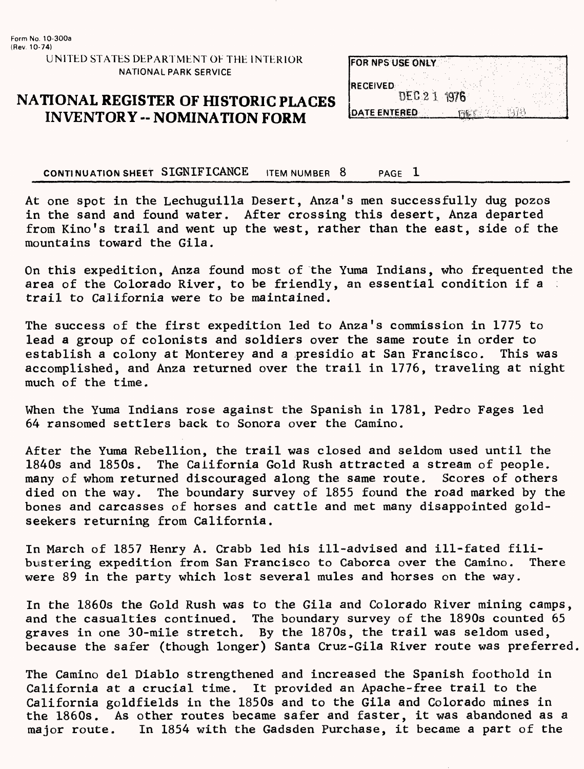UNITED STATES DEPARTMENT OE THE INTERIOR NATIONAL PARK SERVICE

#### **NATIONAL REGISTER OF HISTORIC PLACES INVENTORY -- NOMINATION FORM**

| <b>FOR NPS USE ONLY</b> |              |  |  |  |
|-------------------------|--------------|--|--|--|
| <b>IRECEIVED</b>        |              |  |  |  |
|                         | DEC 2 1 1976 |  |  |  |
| <b>IDATE ENTERED</b>    |              |  |  |  |

**CONTINUATION SHEET SIGNIFICANCE** ITEM NUMBER 8\_\_\_\_\_PAGE 1\_\_\_\_\_\_\_ \_\_\_\_

At one spot in the Lechuguilla Desert, Anza's men successfully dug pozos in the sand and found water, After crossing this desert, Anza departed from Kino's trail and went up the west, rather than the east, side of the mountains toward the Gila.

On this expedition, Anza found most of the Yuma Indians, who frequented the area of the Colorado River, to be friendly, an essential condition if a trail to California were to be maintained.

The success of the first expedition led to Anza's commission in 1775 to lead a group of colonists and soldiers over the same route in order to establish a colony at Monterey and a presidio at San Francisco. This was accomplished, and Anza returned over the trail in 1776, traveling at night much of the time.

When the Yuma Indians rose against the Spanish in 1781, Pedro Fages led 64 ransomed settlers back to Sonora over the Camino.

After the Yuma Rebellion, the trail was closed and seldom used until the 1840s and 1850s. The California Gold Rush attracted a stream of people, many of whom returned discouraged along the same route. Scores of others died on the way. The boundary survey of 1855 found the road marked by the bones and carcasses of horses and cattle and met many disappointed goldseekers returning from California.

In March of 1857 Henry A. Crabb led his ill-advised and ill-fated filibustering expedition from San Francisco to Caborca over the Camino. There were 89 in the party which lost several mules and horses on the way.

In the 1860s the Gold Rush was to the Gila and Colorado River mining camps, and the casualties continued. The boundary survey of the 1890s counted 65 graves in one 30-mile stretch. By the 1870s, the trail was seldom used, because the safer (though longer) Santa Cruz-Gila River route was preferred.

The Camino del Diablo strengthened and increased the Spanish foothold in California at a crucial time. It provided an Apache-free trail to the California goldfields in the 1850s and to the Gila and Colorado mines in the 1860s. As other routes became safer and faster, it was abandoned as a major route. In 1854 with the Gadsden Purchase, it became a part of the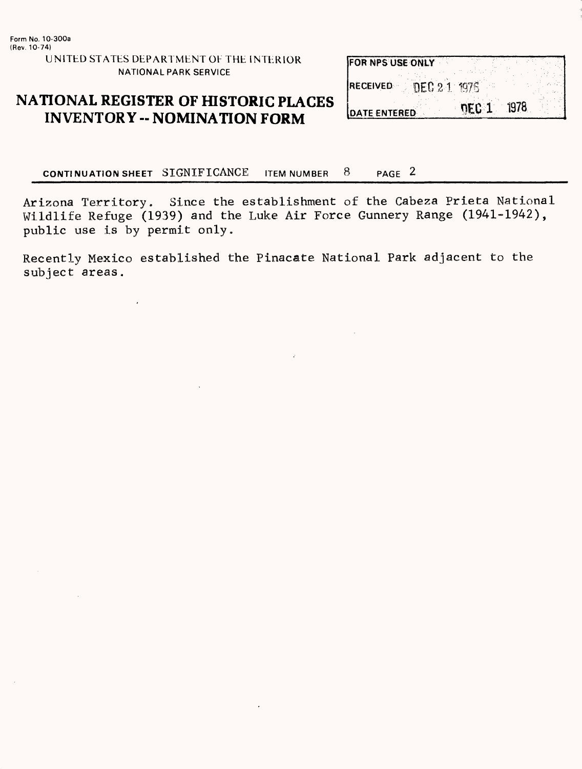UNITED STATES DEPARTMENT OF THE INTERIOR NATIONAL PARK SERVICE

### **NATIONAL REGISTER OF HISTORIC PLACES INVENTORY - NOMINATION FORM**

| <b>IFOR NPS USE ONLY</b> |            |
|--------------------------|------------|
| RECEIVED DEC 2.1 1976    |            |
| <b>IDATE ENTERED</b>     | DEC 1 1978 |

**CONTINUATION SHEET SIGNIFICANCE** ITEM NUMBER 8 PAGE 2

Arizona Territory. Since the establishment of the Cabeza Prieta National Wildlife Refuge (1939) and the Luke Air Force Gunnery Range (1941-1942), public use is by permit only.

Recently Mexico established the Pinacate National Park adjacent to the subject areas,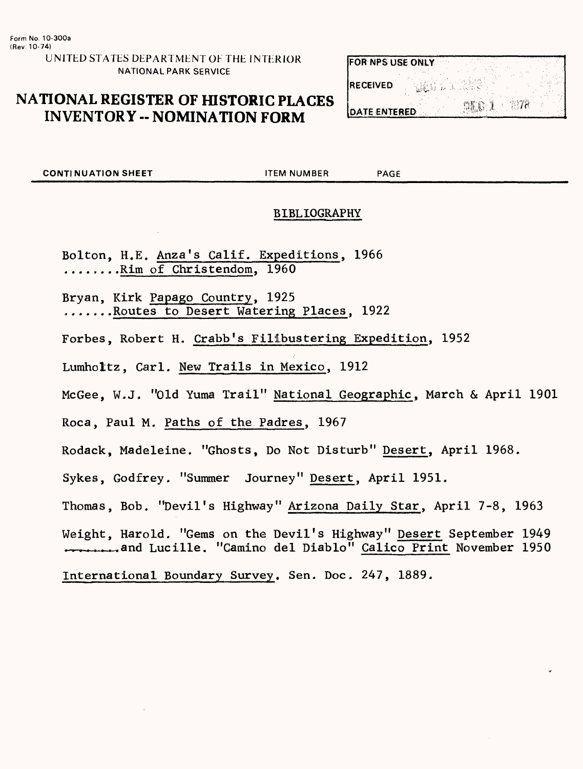UNITED STATES DEPARTMENT OF THE INTERIOR NATIONAL PARK SERVICE

## **NATIONAL REGISTER OF HISTORIC PLACES INVENTORY -- NOMINATION FORM**

| <b>FOR NPS USE ONLY</b> |      |      |  |
|-------------------------|------|------|--|
| <b>RECEIVED</b>         |      |      |  |
| <b>DATE ENTERED</b>     | DE G | 9978 |  |

**CONTINUATION SHEET THEM NUMBER PAGE** 

#### BIBLIOGRAPHY

Bolton, H.E. Anza's Calif. Expeditions, 1966 ....... .Rim of Christendom, 1960

Bryan, Kirk Papago Country, 1925 .......Routes to Desert Watering Places, 1922

Forbes, Robert H. Crabb's Filibustering Expedition, 1952

Lumholtz, Carl. New Trails in Mexico, 1912

McGee, W.J. "Old Yuma Trail" National Geographic, March & April 1901

Roca, Paul M. Paths of the Padres, 1967

Rodack, Madeleine. "Ghosts, Do Not Disturb" Desert, April 1968.

Sykes, Godfrey, "Summer Journey" Desert, April 1951.

Thomas, Bob, "Devil's Highway" Arizona Daily Star, April 7-8, 1963

Weight, Harold. "Gems on the Devil's Highway" Desert September 1949 \_\_\_\_\_and Lucille. "Camino del Diablo" Calico Print November 1950

International Boundary Survey. Sen. Doc. 247, 1889.